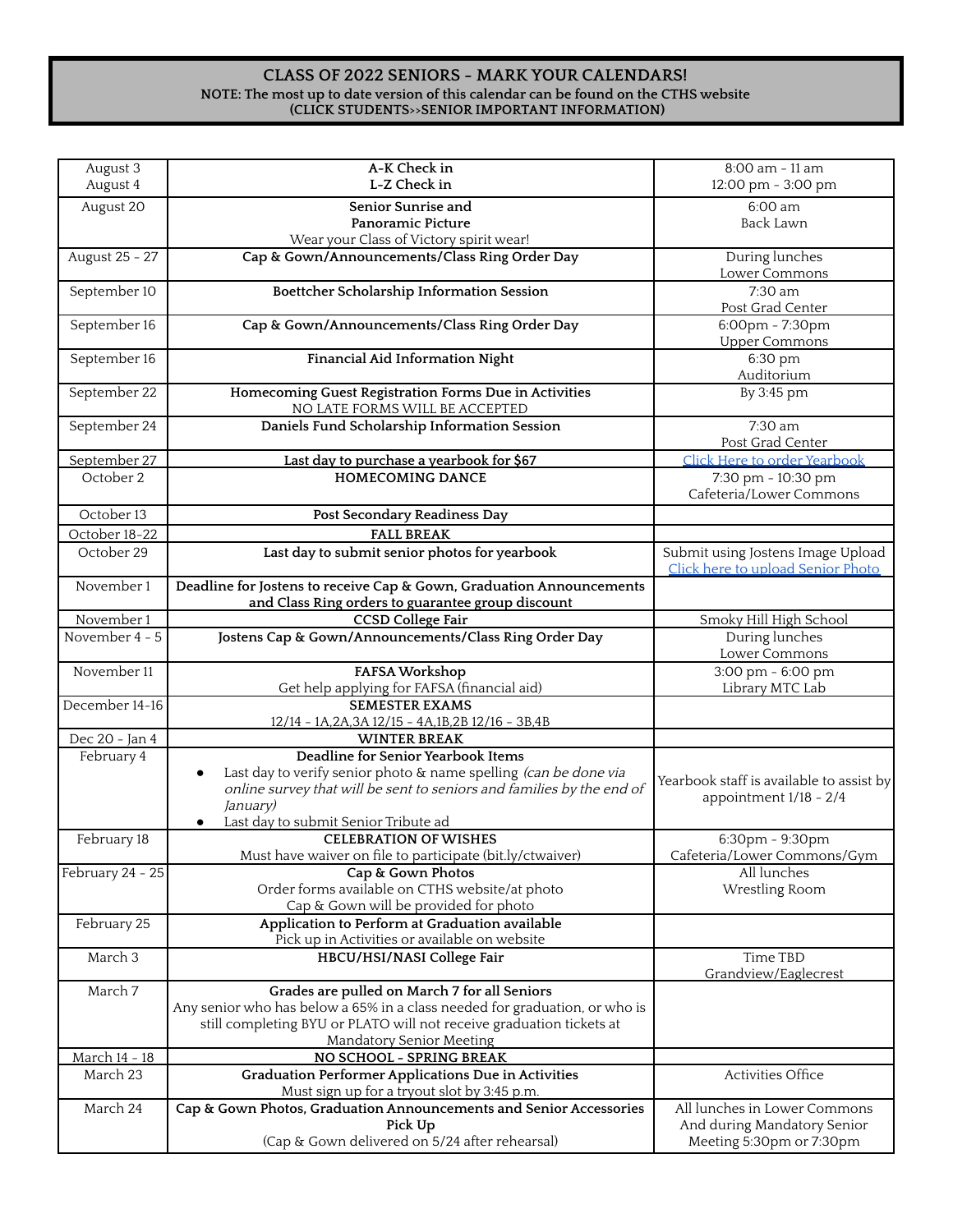## **CLASS OF 2022 SENIORS - MARK YOUR CALENDARS! NOTE: The most up to date version of this calendar can be found on the CTHS website (CLICK STUDENTS>>SENIOR IMPORTANT INFORMATION)**

| August 3         | A-K Check in                                                                                              | 8:00 am - 11 am                                                        |
|------------------|-----------------------------------------------------------------------------------------------------------|------------------------------------------------------------------------|
| August 4         | L-Z Check in                                                                                              | 12:00 pm - 3:00 pm                                                     |
| August 20        | Senior Sunrise and                                                                                        | 6:00 am                                                                |
|                  | Panoramic Picture                                                                                         | <b>Back Lawn</b>                                                       |
| August 25 - 27   | Wear your Class of Victory spirit wear!<br>Cap & Gown/Announcements/Class Ring Order Day                  | During lunches                                                         |
|                  |                                                                                                           | Lower Commons                                                          |
| September 10     | Boettcher Scholarship Information Session                                                                 | 7:30 am                                                                |
|                  |                                                                                                           | Post Grad Center                                                       |
| September 16     | Cap & Gown/Announcements/Class Ring Order Day                                                             | 6:00pm - 7:30pm                                                        |
|                  |                                                                                                           | <b>Upper Commons</b>                                                   |
| September 16     | Financial Aid Information Night                                                                           | 6:30 pm<br>Auditorium                                                  |
| September 22     | Homecoming Guest Registration Forms Due in Activities<br>NO LATE FORMS WILL BE ACCEPTED                   | $\overline{B}$ y 3:45 pm                                               |
| September 24     | Daniels Fund Scholarship Information Session                                                              | 7:30 am                                                                |
|                  |                                                                                                           | Post Grad Center                                                       |
| September 27     | Last day to purchase a yearbook for \$67                                                                  | Click Here to order Yearbook                                           |
| October 2        | <b>HOMECOMING DANCE</b>                                                                                   | 7:30 pm - 10:30 pm                                                     |
|                  |                                                                                                           | Cafeteria/Lower Commons                                                |
| October 13       | Post Secondary Readiness Day                                                                              |                                                                        |
| October 18-22    | <b>FALL BREAK</b>                                                                                         |                                                                        |
| October 29       | Last day to submit senior photos for yearbook                                                             | Submit using Jostens Image Upload<br>Click here to upload Senior Photo |
| November 1       | Deadline for Jostens to receive Cap & Gown, Graduation Announcements                                      |                                                                        |
|                  | and Class Ring orders to guarantee group discount                                                         |                                                                        |
| November 1       | <b>CCSD College Fair</b>                                                                                  | Smoky Hill High School                                                 |
| November 4 - 5   | Jostens Cap & Gown/Announcements/Class Ring Order Day                                                     | During lunches<br>Lower Commons                                        |
| November 11      | FAFSA Workshop                                                                                            | $3:00 \text{ pm} - 6:00 \text{ pm}$                                    |
|                  | Get help applying for FAFSA (financial aid)                                                               | Library MTC Lab                                                        |
| December 14-16   | <b>SEMESTER EXAMS</b>                                                                                     |                                                                        |
|                  | 12/14 - 1A, 2A, 3A 12/15 - 4A, 1B, 2B 12/16 - 3B, 4B                                                      |                                                                        |
| Dec 20 - Jan 4   | <b>WINTER BREAK</b>                                                                                       |                                                                        |
| February 4       | Deadline for Senior Yearbook Items<br>Last day to verify senior photo & name spelling (can be done via    |                                                                        |
|                  | online survey that will be sent to seniors and families by the end of                                     | Yearbook staff is available to assist by                               |
|                  | January)                                                                                                  | appointment 1/18 - 2/4                                                 |
|                  | Last day to submit Senior Tribute ad<br>$\bullet$                                                         |                                                                        |
| February 18      | <b>CELEBRATION OF WISHES</b>                                                                              | 6:30pm - 9:30pm                                                        |
|                  | Must have waiver on file to participate (bit.ly/ctwaiver)                                                 | Cafeteria/Lower Commons/Gym                                            |
| February 24 - 25 | Cap & Gown Photos                                                                                         | All lunches                                                            |
|                  | Order forms available on CTHS website/at photo<br>Cap & Gown will be provided for photo                   | Wrestling Room                                                         |
| February 25      | Application to Perform at Graduation available                                                            |                                                                        |
|                  | Pick up in Activities or available on website                                                             |                                                                        |
| March 3          | HBCU/HSI/NASI College Fair                                                                                | Time TBD<br>Grandview/Eaglecrest                                       |
| March 7          | Grades are pulled on March 7 for all Seniors                                                              |                                                                        |
|                  | Any senior who has below a 65% in a class needed for graduation, or who is                                |                                                                        |
|                  | still completing BYU or PLATO will not receive graduation tickets at                                      |                                                                        |
|                  | <b>Mandatory Senior Meeting</b>                                                                           |                                                                        |
| March 14 - 18    | NO SCHOOL - SPRING BREAK                                                                                  |                                                                        |
| March 23         | <b>Graduation Performer Applications Due in Activities</b><br>Must sign up for a tryout slot by 3:45 p.m. | Activities Office                                                      |
| March 24         | Cap & Gown Photos, Graduation Announcements and Senior Accessories                                        | All lunches in Lower Commons                                           |
|                  | Pick Up                                                                                                   | And during Mandatory Senior                                            |
|                  | (Cap & Gown delivered on 5/24 after rehearsal)                                                            | Meeting 5:30pm or 7:30pm                                               |